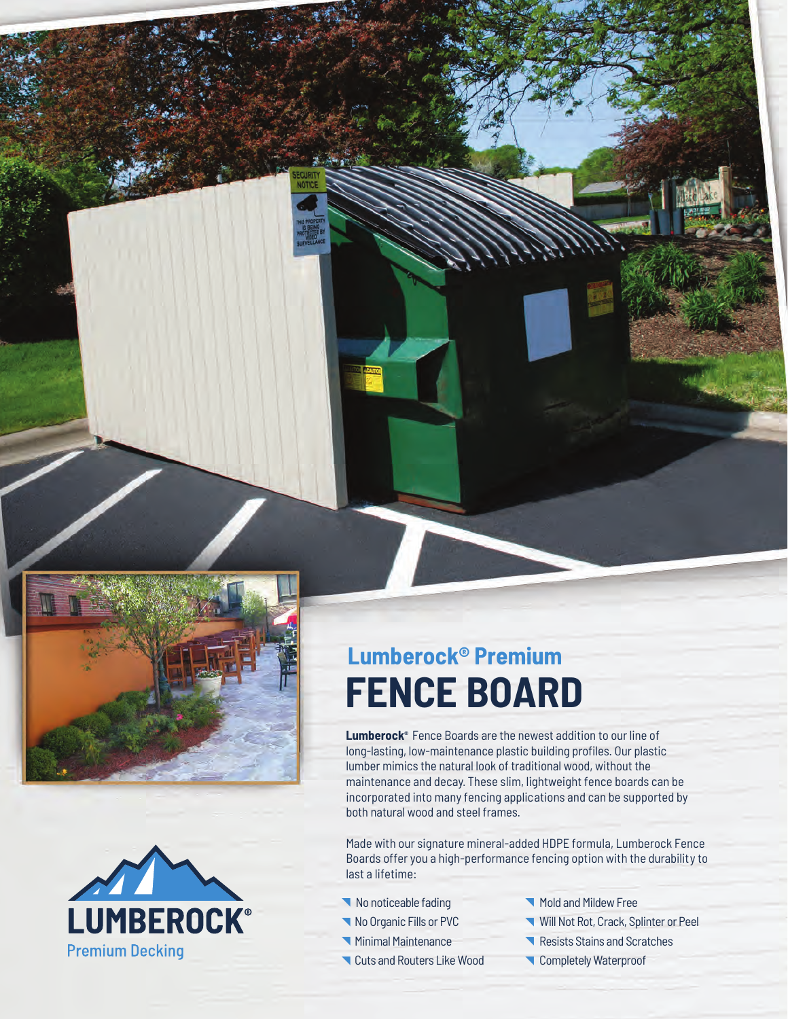



# **Lumberock® Premium FENCE BOARD**

**Lumberock®** Fence Boards are the newest addition to our line of long-lasting, low-maintenance plastic building profiles. Our plastic lumber mimics the natural look of traditional wood, without the maintenance and decay. These slim, lightweight fence boards can be incorporated into many fencing applications and can be supported by both natural wood and steel frames.

Made with our signature mineral-added HDPE formula, Lumberock Fence Boards offer you a high-performance fencing option with the durability to last a lifetime:

- K No noticeable fading
- No Organic Fills or PVC
- Minimal Maintenance
- Cuts and Routers Like Wood •
- Mold and Mildew Free
- Will Not Rot, Crack, Splinter or Peel
- Resists Stains and Scratches
- **Completely Waterproof**